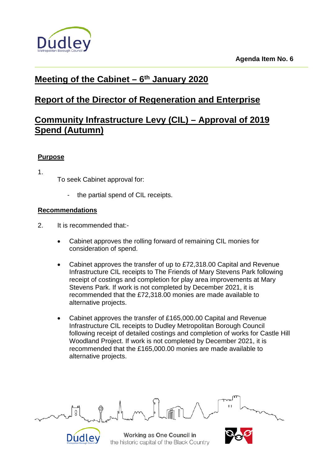



# **Meeting of the Cabinet – 6th January 2020**

# **Report of the Director of Regeneration and Enterprise**

# **Community Infrastructure Levy (CIL) – Approval of 2019 Spend (Autumn)**

## **Purpose**

1.

To seek Cabinet approval for:

- the partial spend of CIL receipts.

## **Recommendations**

- 2. It is recommended that:-
	- Cabinet approves the rolling forward of remaining CIL monies for consideration of spend.
	- Cabinet approves the transfer of up to £72,318.00 Capital and Revenue Infrastructure CIL receipts to The Friends of Mary Stevens Park following receipt of costings and completion for play area improvements at Mary Stevens Park. If work is not completed by December 2021, it is recommended that the £72,318.00 monies are made available to alternative projects.
	- Cabinet approves the transfer of £165,000.00 Capital and Revenue Infrastructure CIL receipts to Dudley Metropolitan Borough Council following receipt of detailed costings and completion of works for Castle Hill Woodland Project. If work is not completed by December 2021, it is recommended that the £165,000.00 monies are made available to alternative projects.



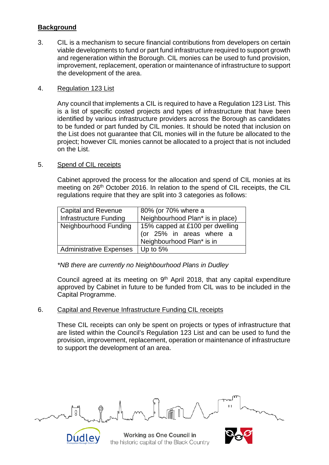### **Background**

3. CIL is a mechanism to secure financial contributions from developers on certain viable developments to fund or part fund infrastructure required to support growth and regeneration within the Borough. CIL monies can be used to fund provision, improvement, replacement, operation or maintenance of infrastructure to support the development of the area.

#### 4. Regulation 123 List

Any council that implements a CIL is required to have a Regulation 123 List. This is a list of specific costed projects and types of infrastructure that have been identified by various infrastructure providers across the Borough as candidates to be funded or part funded by CIL monies. It should be noted that inclusion on the List does not guarantee that CIL monies will in the future be allocated to the project; however CIL monies cannot be allocated to a project that is not included on the List.

#### 5. Spend of CIL receipts

Cabinet approved the process for the allocation and spend of CIL monies at its meeting on 26<sup>th</sup> October 2016. In relation to the spend of CIL receipts, the CIL regulations require that they are split into 3 categories as follows:

| <b>Capital and Revenue</b><br>Infrastructure Funding | 80% (or 70% where a<br>Neighbourhood Plan* is in place)                                  |
|------------------------------------------------------|------------------------------------------------------------------------------------------|
| Neighbourhood Funding                                | 15% capped at £100 per dwelling<br>(or 25% in areas where a<br>Neighbourhood Plan* is in |
| <b>Administrative Expenses</b>                       | Up to 5%                                                                                 |

*\*NB there are currently no Neighbourhood Plans in Dudley*

Council agreed at its meeting on  $9<sup>th</sup>$  April 2018, that any capital expenditure approved by Cabinet in future to be funded from CIL was to be included in the Capital Programme.

#### 6. Capital and Revenue Infrastructure Funding CIL receipts

These CIL receipts can only be spent on projects or types of infrastructure that are listed within the Council's Regulation 123 List and can be used to fund the provision, improvement, replacement, operation or maintenance of infrastructure to support the development of an area.



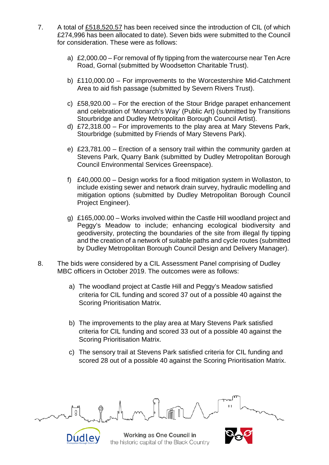- 7. A total of £518,520.57 has been received since the introduction of CIL (of which £274,996 has been allocated to date). Seven bids were submitted to the Council for consideration. These were as follows:
	- a) £2,000.00 For removal of fly tipping from the watercourse near Ten Acre Road, Gornal (submitted by Woodsetton Charitable Trust).
	- b) £110,000.00 For improvements to the Worcestershire Mid-Catchment Area to aid fish passage (submitted by Severn Rivers Trust).
	- c) £58,920.00 For the erection of the Stour Bridge parapet enhancement and celebration of 'Monarch's Way' (Public Art) (submitted by Transitions Stourbridge and Dudley Metropolitan Borough Council Artist).
	- d) £72,318.00 For improvements to the play area at Mary Stevens Park, Stourbridge (submitted by Friends of Mary Stevens Park).
	- e) £23,781.00 Erection of a sensory trail within the community garden at Stevens Park, Quarry Bank (submitted by Dudley Metropolitan Borough Council Environmental Services Greenspace).
	- f) £40,000.00 Design works for a flood mitigation system in Wollaston, to include existing sewer and network drain survey, hydraulic modelling and mitigation options (submitted by Dudley Metropolitan Borough Council Project Engineer).
	- g) £165,000.00 Works involved within the Castle Hill woodland project and Peggy's Meadow to include; enhancing ecological biodiversity and geodiversity, protecting the boundaries of the site from illegal fly tipping and the creation of a network of suitable paths and cycle routes (submitted by Dudley Metropolitan Borough Council Design and Delivery Manager).
- 8. The bids were considered by a CIL Assessment Panel comprising of Dudley MBC officers in October 2019. The outcomes were as follows:
	- a) The woodland project at Castle Hill and Peggy's Meadow satisfied criteria for CIL funding and scored 37 out of a possible 40 against the Scoring Prioritisation Matrix.
	- b) The improvements to the play area at Mary Stevens Park satisfied criteria for CIL funding and scored 33 out of a possible 40 against the Scoring Prioritisation Matrix.
	- c) The sensory trail at Stevens Park satisfied criteria for CIL funding and scored 28 out of a possible 40 against the Scoring Prioritisation Matrix.



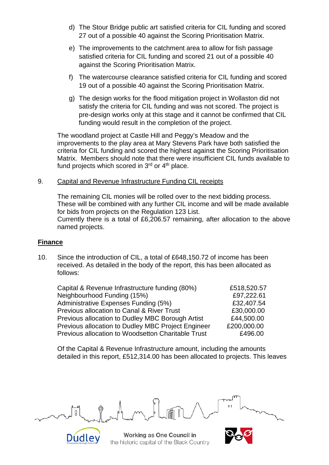- d) The Stour Bridge public art satisfied criteria for CIL funding and scored 27 out of a possible 40 against the Scoring Prioritisation Matrix.
- e) The improvements to the catchment area to allow for fish passage satisfied criteria for CIL funding and scored 21 out of a possible 40 against the Scoring Prioritisation Matrix.
- f) The watercourse clearance satisfied criteria for CIL funding and scored 19 out of a possible 40 against the Scoring Prioritisation Matrix.
- g) The design works for the flood mitigation project in Wollaston did not satisfy the criteria for CIL funding and was not scored. The project is pre-design works only at this stage and it cannot be confirmed that CIL funding would result in the completion of the project.

The woodland project at Castle Hill and Peggy's Meadow and the improvements to the play area at Mary Stevens Park have both satisfied the criteria for CIL funding and scored the highest against the Scoring Prioritisation Matrix. Members should note that there were insufficient CIL funds available to fund projects which scored in  $3<sup>rd</sup>$  or  $4<sup>th</sup>$  place.

9. Capital and Revenue Infrastructure Funding CIL receipts

The remaining CIL monies will be rolled over to the next bidding process. These will be combined with any further CIL income and will be made available for bids from projects on the Regulation 123 List. Currently there is a total of £6,206.57 remaining, after allocation to the above named projects.

### **Finance**

10. Since the introduction of CIL, a total of £648,150.72 of income has been received. As detailed in the body of the report, this has been allocated as follows:

| Capital & Revenue Infrastructure funding (80%)     | £518,520.57 |
|----------------------------------------------------|-------------|
| Neighbourhood Funding (15%)                        | £97,222.61  |
| Administrative Expenses Funding (5%)               | £32,407.54  |
| Previous allocation to Canal & River Trust         | £30,000.00  |
| Previous allocation to Dudley MBC Borough Artist   | £44,500.00  |
| Previous allocation to Dudley MBC Project Engineer | £200,000.00 |
| Previous allocation to Woodsetton Charitable Trust | £496.00     |

Of the Capital & Revenue Infrastructure amount, including the amounts detailed in this report, £512,314.00 has been allocated to projects. This leaves



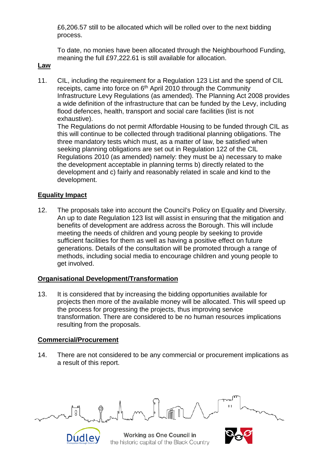£6,206.57 still to be allocated which will be rolled over to the next bidding process.

To date, no monies have been allocated through the Neighbourhood Funding, meaning the full £97,222.61 is still available for allocation.

#### **Law**

11. CIL, including the requirement for a Regulation 123 List and the spend of CIL receipts, came into force on 6<sup>th</sup> April 2010 through the Community Infrastructure Levy Regulations (as amended). The Planning Act 2008 provides a wide definition of the infrastructure that can be funded by the Levy, including flood defences, health, transport and social care facilities (list is not exhaustive).

The Regulations do not permit Affordable Housing to be funded through CIL as this will continue to be collected through traditional planning obligations. The three mandatory tests which must, as a matter of law, be satisfied when seeking planning obligations are set out in Regulation 122 of the CIL Regulations 2010 (as amended) namely: they must be a) necessary to make the development acceptable in planning terms b) directly related to the development and c) fairly and reasonably related in scale and kind to the development.

### **Equality Impact**

12. The proposals take into account the Council's Policy on Equality and Diversity. An up to date Regulation 123 list will assist in ensuring that the mitigation and benefits of development are address across the Borough. This will include meeting the needs of children and young people by seeking to provide sufficient facilities for them as well as having a positive effect on future generations. Details of the consultation will be promoted through a range of methods, including social media to encourage children and young people to get involved.

#### **Organisational Development/Transformation**

13. It is considered that by increasing the bidding opportunities available for projects then more of the available money will be allocated. This will speed up the process for progressing the projects, thus improving service transformation. There are considered to be no human resources implications resulting from the proposals.

#### **Commercial/Procurement**

14. There are not considered to be any commercial or procurement implications as a result of this report.